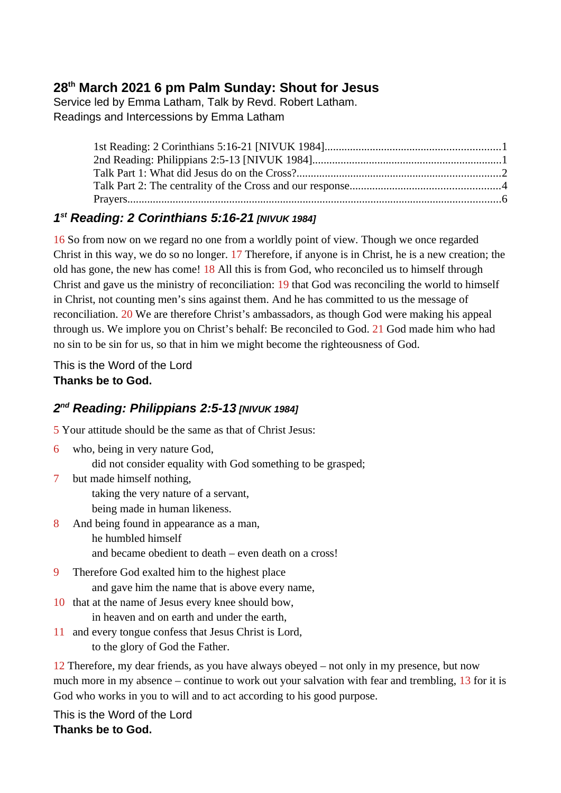# **28th March 2021 6 pm Palm Sunday: Shout for Jesus**

Service led by Emma Latham, Talk by Revd. Robert Latham. Readings and Intercessions by Emma Latham

## <span id="page-0-0"></span>*1 st Reading: 2 Corinthians 5:16-21 [NIVUK 1984]*

16 So from now on we regard no one from a worldly point of view. Though we once regarded Christ in this way, we do so no longer. 17 Therefore, if anyone is in Christ, he is a new creation; the old has gone, the new has come! 18 All this is from God, who reconciled us to himself through Christ and gave us the ministry of reconciliation: 19 that God was reconciling the world to himself in Christ, not counting men's sins against them. And he has committed to us the message of reconciliation. 20 We are therefore Christ's ambassadors, as though God were making his appeal through us. We implore you on Christ's behalf: Be reconciled to God. 21 God made him who had no sin to be sin for us, so that in him we might become the righteousness of God.

This is the Word of the Lord **Thanks be to God.**

## <span id="page-0-1"></span>*2 nd Reading: Philippians 2:5-13 [NIVUK 1984]*

5 Your attitude should be the same as that of Christ Jesus:

- 6 who, being in very nature God,
	- did not consider equality with God something to be grasped;
- 7 but made himself nothing,

taking the very nature of a servant,

being made in human likeness.

- 8 And being found in appearance as a man, he humbled himself and became obedient to death – even death on a cross!
- 9 Therefore God exalted him to the highest place and gave him the name that is above every name,
- 10 that at the name of Jesus every knee should bow, in heaven and on earth and under the earth,
- 11 and every tongue confess that Jesus Christ is Lord, to the glory of God the Father.

12 Therefore, my dear friends, as you have always obeyed – not only in my presence, but now much more in my absence – continue to work out your salvation with fear and trembling, 13 for it is God who works in you to will and to act according to his good purpose.

This is the Word of the Lord **Thanks be to God.**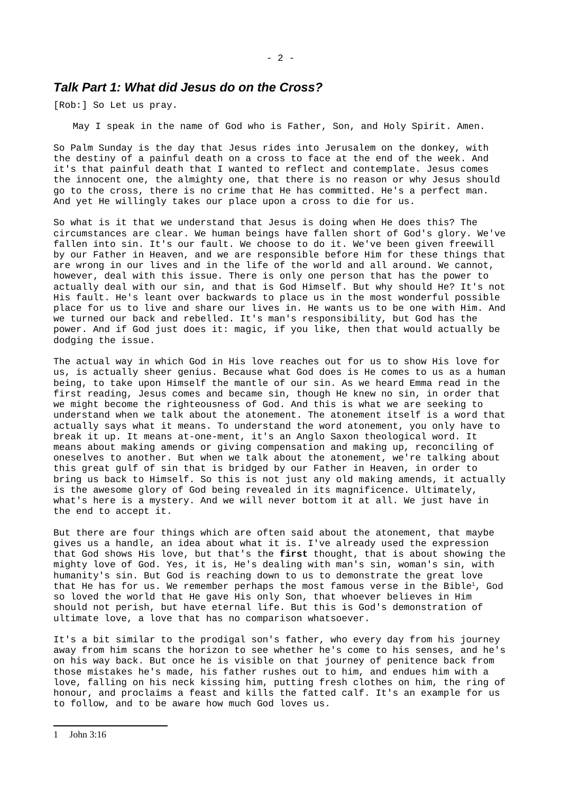### <span id="page-1-0"></span>*Talk Part 1: What did Jesus do on the Cross?*

[Rob:] So Let us pray.

May I speak in the name of God who is Father, Son, and Holy Spirit. Amen.

So Palm Sunday is the day that Jesus rides into Jerusalem on the donkey, with the destiny of a painful death on a cross to face at the end of the week. And it's that painful death that I wanted to reflect and contemplate. Jesus comes the innocent one, the almighty one, that there is no reason or why Jesus should go to the cross, there is no crime that He has committed. He's a perfect man. And yet He willingly takes our place upon a cross to die for us.

So what is it that we understand that Jesus is doing when He does this? The circumstances are clear. We human beings have fallen short of God's glory. We've fallen into sin. It's our fault. We choose to do it. We've been given freewill by our Father in Heaven, and we are responsible before Him for these things that are wrong in our lives and in the life of the world and all around. We cannot, however, deal with this issue. There is only one person that has the power to actually deal with our sin, and that is God Himself. But why should He? It's not His fault. He's leant over backwards to place us in the most wonderful possible place for us to live and share our lives in. He wants us to be one with Him. And we turned our back and rebelled. It's man's responsibility, but God has the power. And if God just does it: magic, if you like, then that would actually be dodging the issue.

The actual way in which God in His love reaches out for us to show His love for us, is actually sheer genius. Because what God does is He comes to us as a human being, to take upon Himself the mantle of our sin. As we heard Emma read in the first reading, Jesus comes and became sin, though He knew no sin, in order that we might become the righteousness of God. And this is what we are seeking to understand when we talk about the atonement. The atonement itself is a word that actually says what it means. To understand the word atonement, you only have to break it up. It means at-one-ment, it's an Anglo Saxon theological word. It means about making amends or giving compensation and making up, reconciling of oneselves to another. But when we talk about the atonement, we're talking about this great gulf of sin that is bridged by our Father in Heaven, in order to bring us back to Himself. So this is not just any old making amends, it actually is the awesome glory of God being revealed in its magnificence. Ultimately, what's here is a mystery. And we will never bottom it at all. We just have in the end to accept it.

But there are four things which are often said about the atonement, that maybe gives us a handle, an idea about what it is. I've already used the expression that God shows His love, but that's the **first** thought, that is about showing the mighty love of God. Yes, it is, He's dealing with man's sin, woman's sin, with humanity's sin. But God is reaching down to us to demonstrate the great love that He has for us. We remember perhaps the most famous verse in the Bible<sup>[1](#page-1-1)</sup>, God so loved the world that He gave His only Son, that whoever believes in Him should not perish, but have eternal life. But this is God's demonstration of ultimate love, a love that has no comparison whatsoever.

<span id="page-1-1"></span>It's a bit similar to the prodigal son's father, who every day from his journey away from him scans the horizon to see whether he's come to his senses, and he's on his way back. But once he is visible on that journey of penitence back from those mistakes he's made, his father rushes out to him, and endues him with a love, falling on his neck kissing him, putting fresh clothes on him, the ring of honour, and proclaims a feast and kills the fatted calf. It's an example for us to follow, and to be aware how much God loves us.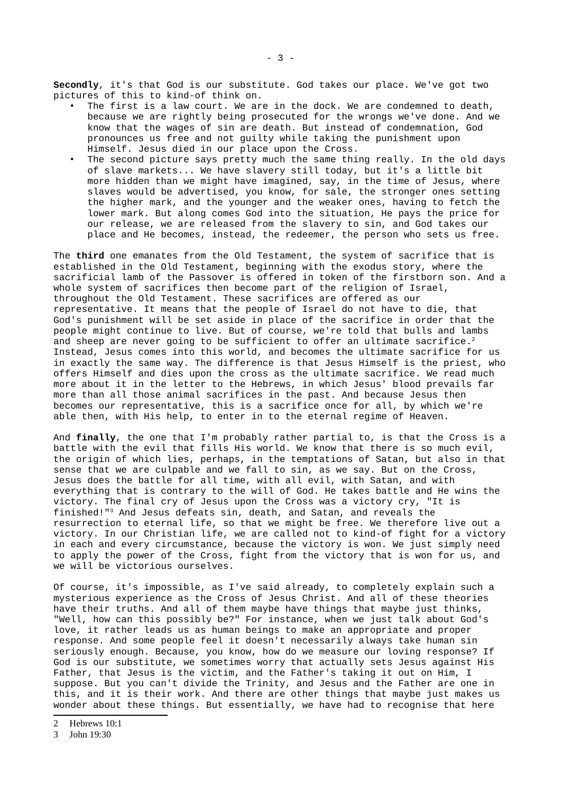**Secondly**, it's that God is our substitute. God takes our place. We've got two pictures of this to kind-of think on.

- The first is a law court. We are in the dock. We are condemned to death, because we are rightly being prosecuted for the wrongs we've done. And we know that the wages of sin are death. But instead of condemnation, God pronounces us free and not guilty while taking the punishment upon Himself. Jesus died in our place upon the Cross.
- The second picture says pretty much the same thing really. In the old days of slave markets... We have slavery still today, but it's a little bit more hidden than we might have imagined, say, in the time of Jesus, where slaves would be advertised, you know, for sale, the stronger ones setting the higher mark, and the younger and the weaker ones, having to fetch the lower mark. But along comes God into the situation, He pays the price for our release, we are released from the slavery to sin, and God takes our place and He becomes, instead, the redeemer, the person who sets us free.

The **third** one emanates from the Old Testament, the system of sacrifice that is established in the Old Testament, beginning with the exodus story, where the sacrificial lamb of the Passover is offered in token of the firstborn son. And a whole system of sacrifices then become part of the religion of Israel, throughout the Old Testament. These sacrifices are offered as our representative. It means that the people of Israel do not have to die, that God's punishment will be set aside in place of the sacrifice in order that the people might continue to live. But of course, we're told that bulls and lambs and sheep are never going to be sufficient to offer an ultimate sacrifice.<sup>[2](#page-2-0)</sup> Instead, Jesus comes into this world, and becomes the ultimate sacrifice for us in exactly the same way. The difference is that Jesus Himself is the priest, who offers Himself and dies upon the cross as the ultimate sacrifice. We read much more about it in the letter to the Hebrews, in which Jesus' blood prevails far more than all those animal sacrifices in the past. And because Jesus then becomes our representative, this is a sacrifice once for all, by which we're able then, with His help, to enter in to the eternal regime of Heaven.

And **finally**, the one that I'm probably rather partial to, is that the Cross is a battle with the evil that fills His world. We know that there is so much evil, the origin of which lies, perhaps, in the temptations of Satan, but also in that sense that we are culpable and we fall to sin, as we say. But on the Cross, Jesus does the battle for all time, with all evil, with Satan, and with everything that is contrary to the will of God. He takes battle and He wins the victory. The final cry of Jesus upon the Cross was a victory cry, "It is finished!"[3](#page-2-1) And Jesus defeats sin, death, and Satan, and reveals the resurrection to eternal life, so that we might be free. We therefore live out a victory. In our Christian life, we are called not to kind-of fight for a victory in each and every circumstance, because the victory is won. We just simply need to apply the power of the Cross, fight from the victory that is won for us, and we will be victorious ourselves.

Of course, it's impossible, as I've said already, to completely explain such a mysterious experience as the Cross of Jesus Christ. And all of these theories have their truths. And all of them maybe have things that maybe just thinks, "Well, how can this possibly be?" For instance, when we just talk about God's love, it rather leads us as human beings to make an appropriate and proper response. And some people feel it doesn't necessarily always take human sin seriously enough. Because, you know, how do we measure our loving response? If God is our substitute, we sometimes worry that actually sets Jesus against His Father, that Jesus is the victim, and the Father's taking it out on Him, I suppose. But you can't divide the Trinity, and Jesus and the Father are one in this, and it is their work. And there are other things that maybe just makes us wonder about these things. But essentially, we have had to recognise that here

- <span id="page-2-0"></span>2 Hebrews 10:1
- <span id="page-2-1"></span>3 John 19:30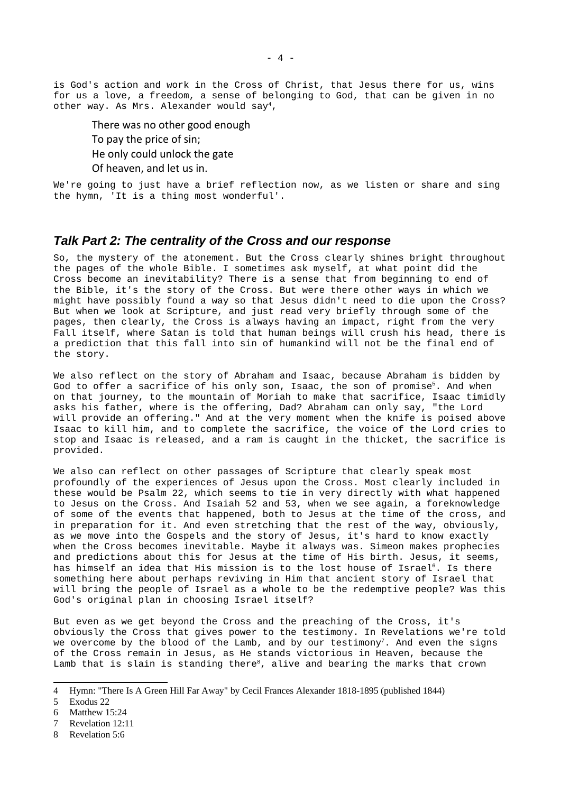is God's action and work in the Cross of Christ, that Jesus there for us, wins for us a love, a freedom, a sense of belonging to God, that can be given in no other way. As Mrs. Alexander would say<sup>[4](#page-3-1)</sup>,

There was no other good enough

To pay the price of sin;

He only could unlock the gate

Of heaven, and let us in.

We're going to just have a brief reflection now, as we listen or share and sing the hymn, 'It is a thing most wonderful'.

### <span id="page-3-0"></span>*Talk Part 2: The centrality of the Cross and our response*

So, the mystery of the atonement. But the Cross clearly shines bright throughout the pages of the whole Bible. I sometimes ask myself, at what point did the Cross become an inevitability? There is a sense that from beginning to end of the Bible, it's the story of the Cross. But were there other ways in which we might have possibly found a way so that Jesus didn't need to die upon the Cross? But when we look at Scripture, and just read very briefly through some of the pages, then clearly, the Cross is always having an impact, right from the very Fall itself, where Satan is told that human beings will crush his head, there is a prediction that this fall into sin of humankind will not be the final end of the story.

We also reflect on the story of Abraham and Isaac, because Abraham is bidden by God to offer a sacrifice of his only son, Isaac, the son of promise<sup>[5](#page-3-2)</sup>. And when on that journey, to the mountain of Moriah to make that sacrifice, Isaac timidly asks his father, where is the offering, Dad? Abraham can only say, "the Lord will provide an offering." And at the very moment when the knife is poised above Isaac to kill him, and to complete the sacrifice, the voice of the Lord cries to stop and Isaac is released, and a ram is caught in the thicket, the sacrifice is provided.

We also can reflect on other passages of Scripture that clearly speak most profoundly of the experiences of Jesus upon the Cross. Most clearly included in these would be Psalm 22, which seems to tie in very directly with what happened to Jesus on the Cross. And Isaiah 52 and 53, when we see again, a foreknowledge of some of the events that happened, both to Jesus at the time of the cross, and in preparation for it. And even stretching that the rest of the way, obviously, as we move into the Gospels and the story of Jesus, it's hard to know exactly when the Cross becomes inevitable. Maybe it always was. Simeon makes prophecies and predictions about this for Jesus at the time of His birth. Jesus, it seems, has himself an idea that His mission is to the lost house of Israel<sup>[6](#page-3-3)</sup>. Is there something here about perhaps reviving in Him that ancient story of Israel that will bring the people of Israel as a whole to be the redemptive people? Was this God's original plan in choosing Israel itself?

But even as we get beyond the Cross and the preaching of the Cross, it's obviously the Cross that gives power to the testimony. In Revelations we're told we overcome by the blood of the Lamb, and by our testimony<sup>[7](#page-3-4)</sup>. And even the signs of the Cross remain in Jesus, as He stands victorious in Heaven, because the Lamb that is slain is standing there<sup>[8](#page-3-5)</sup>, alive and bearing the marks that crown

<span id="page-3-1"></span><sup>4</sup> Hymn: "There Is A Green Hill Far Away" by Cecil Frances Alexander 1818-1895 (published 1844)

<span id="page-3-2"></span><sup>5</sup> Exodus 22

<span id="page-3-3"></span><sup>6</sup> Matthew 15:24

<span id="page-3-4"></span><sup>7</sup> Revelation 12:11

<span id="page-3-5"></span><sup>8</sup> Revelation 5:6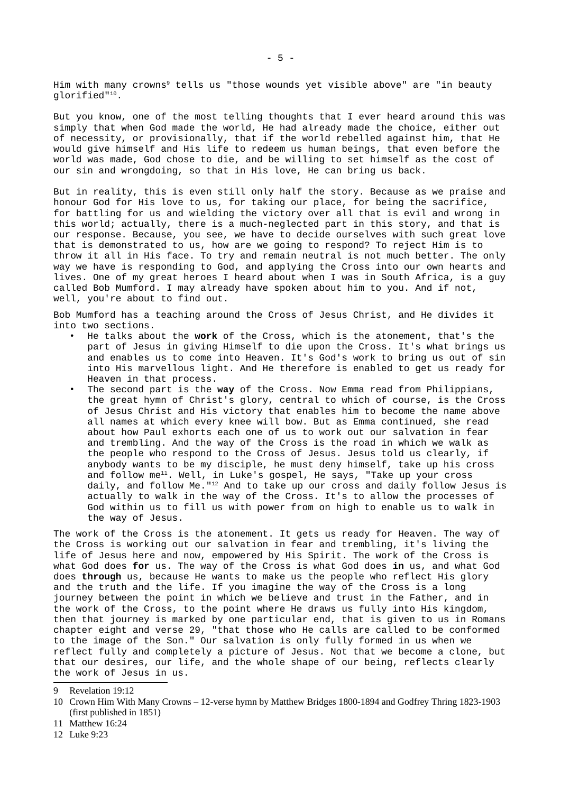Him with many crowns<sup>[9](#page-4-0)</sup> tells us "those wounds yet visible above" are "in beauty glorified" [10](#page-4-1).

But you know, one of the most telling thoughts that I ever heard around this was simply that when God made the world, He had already made the choice, either out of necessity, or provisionally, that if the world rebelled against him, that He would give himself and His life to redeem us human beings, that even before the world was made, God chose to die, and be willing to set himself as the cost of our sin and wrongdoing, so that in His love, He can bring us back.

But in reality, this is even still only half the story. Because as we praise and honour God for His love to us, for taking our place, for being the sacrifice, for battling for us and wielding the victory over all that is evil and wrong in this world; actually, there is a much-neglected part in this story, and that is our response. Because, you see, we have to decide ourselves with such great love that is demonstrated to us, how are we going to respond? To reject Him is to throw it all in His face. To try and remain neutral is not much better. The only way we have is responding to God, and applying the Cross into our own hearts and lives. One of my great heroes I heard about when I was in South Africa, is a guy called Bob Mumford. I may already have spoken about him to you. And if not, well, you're about to find out.

Bob Mumford has a teaching around the Cross of Jesus Christ, and He divides it into two sections.

- He talks about the **work** of the Cross, which is the atonement, that's the part of Jesus in giving Himself to die upon the Cross. It's what brings us and enables us to come into Heaven. It's God's work to bring us out of sin into His marvellous light. And He therefore is enabled to get us ready for Heaven in that process.
- The second part is the **way** of the Cross. Now Emma read from Philippians, the great hymn of Christ's glory, central to which of course, is the Cross of Jesus Christ and His victory that enables him to become the name above all names at which every knee will bow. But as Emma continued, she read about how Paul exhorts each one of us to work out our salvation in fear and trembling. And the way of the Cross is the road in which we walk as the people who respond to the Cross of Jesus. Jesus told us clearly, if anybody wants to be my disciple, he must deny himself, take up his cross and follow me[11](#page-4-2). Well, in Luke's gospel, He says, "Take up your cross daily, and follow Me."[12](#page-4-3) And to take up our cross and daily follow Jesus is actually to walk in the way of the Cross. It's to allow the processes of God within us to fill us with power from on high to enable us to walk in the way of Jesus.

The work of the Cross is the atonement. It gets us ready for Heaven. The way of the Cross is working out our salvation in fear and trembling, it's living the life of Jesus here and now, empowered by His Spirit. The work of the Cross is what God does **for** us. The way of the Cross is what God does **in** us, and what God does **through** us, because He wants to make us the people who reflect His glory and the truth and the life. If you imagine the way of the Cross is a long journey between the point in which we believe and trust in the Father, and in the work of the Cross, to the point where He draws us fully into His kingdom, then that journey is marked by one particular end, that is given to us in Romans chapter eight and verse 29, "that those who He calls are called to be conformed to the image of the Son." Our salvation is only fully formed in us when we reflect fully and completely a picture of Jesus. Not that we become a clone, but that our desires, our life, and the whole shape of our being, reflects clearly the work of Jesus in us.

- <span id="page-4-2"></span>11 Matthew 16:24
- <span id="page-4-3"></span>12 Luke 9:23

<span id="page-4-0"></span><sup>9</sup> Revelation 19:12

<span id="page-4-1"></span><sup>10</sup> Crown Him With Many Crowns – 12-verse hymn by Matthew Bridges 1800-1894 and Godfrey Thring 1823-1903 (first published in 1851)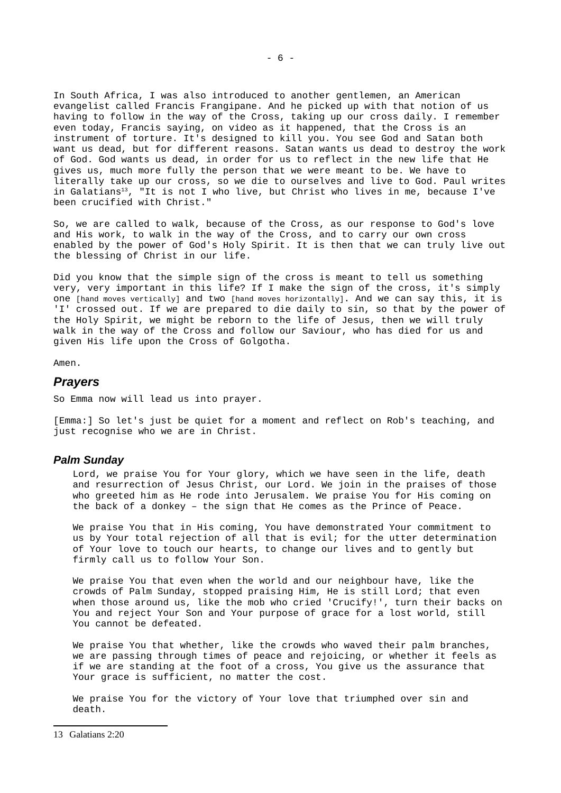In South Africa, I was also introduced to another gentlemen, an American evangelist called Francis Frangipane. And he picked up with that notion of us having to follow in the way of the Cross, taking up our cross daily. I remember even today, Francis saying, on video as it happened, that the Cross is an instrument of torture. It's designed to kill you. You see God and Satan both want us dead, but for different reasons. Satan wants us dead to destroy the work of God. God wants us dead, in order for us to reflect in the new life that He gives us, much more fully the person that we were meant to be. We have to literally take up our cross, so we die to ourselves and live to God. Paul writes in Galatians<sup>[13](#page-5-1)</sup>, "It is not I who live, but Christ who lives in me, because I've been crucified with Christ."

So, we are called to walk, because of the Cross, as our response to God's love and His work, to walk in the way of the Cross, and to carry our own cross enabled by the power of God's Holy Spirit. It is then that we can truly live out the blessing of Christ in our life.

Did you know that the simple sign of the cross is meant to tell us something very, very important in this life? If I make the sign of the cross, it's simply one [hand moves vertically] and two [hand moves horizontally]. And we can say this, it is 'I' crossed out. If we are prepared to die daily to sin, so that by the power of the Holy Spirit, we might be reborn to the life of Jesus, then we will truly walk in the way of the Cross and follow our Saviour, who has died for us and given His life upon the Cross of Golgotha.

Amen.

#### <span id="page-5-0"></span>*Prayers*

So Emma now will lead us into prayer.

[Emma:] So let's just be quiet for a moment and reflect on Rob's teaching, and just recognise who we are in Christ.

#### *Palm Sunday*

Lord, we praise You for Your glory, which we have seen in the life, death and resurrection of Jesus Christ, our Lord. We join in the praises of those who greeted him as He rode into Jerusalem. We praise You for His coming on the back of a donkey – the sign that He comes as the Prince of Peace.

We praise You that in His coming, You have demonstrated Your commitment to us by Your total rejection of all that is evil; for the utter determination of Your love to touch our hearts, to change our lives and to gently but firmly call us to follow Your Son.

We praise You that even when the world and our neighbour have, like the crowds of Palm Sunday, stopped praising Him, He is still Lord; that even when those around us, like the mob who cried 'Crucify!', turn their backs on You and reject Your Son and Your purpose of grace for a lost world, still You cannot be defeated.

We praise You that whether, like the crowds who waved their palm branches, we are passing through times of peace and rejoicing, or whether it feels as if we are standing at the foot of a cross, You give us the assurance that Your grace is sufficient, no matter the cost.

We praise You for the victory of Your love that triumphed over sin and death.

<span id="page-5-1"></span><sup>13</sup> Galatians 2:20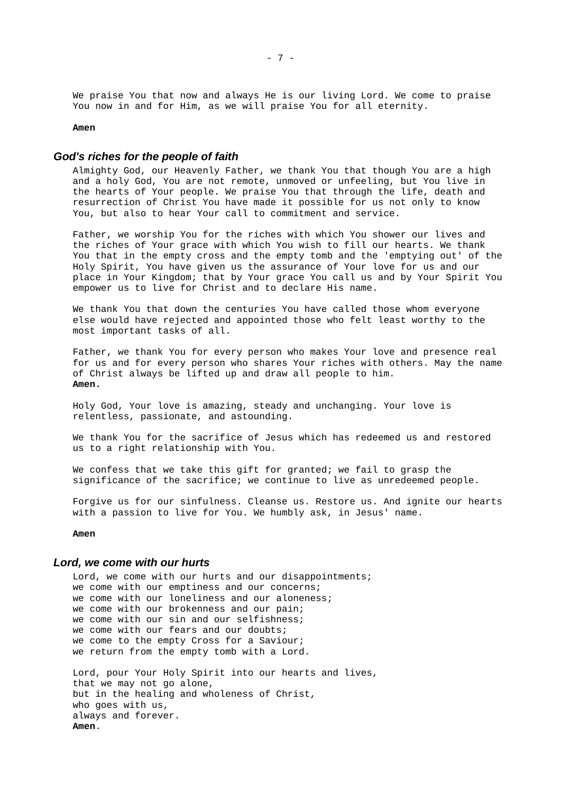We praise You that now and always He is our living Lord. We come to praise You now in and for Him, as we will praise You for all eternity.

#### **Amen**

### *God's riches for the people of faith*

Almighty God, our Heavenly Father, we thank You that though You are a high and a holy God, You are not remote, unmoved or unfeeling, but You live in the hearts of Your people. We praise You that through the life, death and resurrection of Christ You have made it possible for us not only to know You, but also to hear Your call to commitment and service.

Father, we worship You for the riches with which You shower our lives and the riches of Your grace with which You wish to fill our hearts. We thank You that in the empty cross and the empty tomb and the 'emptying out' of the Holy Spirit, You have given us the assurance of Your love for us and our place in Your Kingdom; that by Your grace You call us and by Your Spirit You empower us to live for Christ and to declare His name.

We thank You that down the centuries You have called those whom everyone else would have rejected and appointed those who felt least worthy to the most important tasks of all.

Father, we thank You for every person who makes Your love and presence real for us and for every person who shares Your riches with others. May the name of Christ always be lifted up and draw all people to him. **Amen.**

Holy God, Your love is amazing, steady and unchanging. Your love is relentless, passionate, and astounding.

We thank You for the sacrifice of Jesus which has redeemed us and restored us to a right relationship with You.

We confess that we take this gift for granted; we fail to grasp the significance of the sacrifice; we continue to live as unredeemed people.

Forgive us for our sinfulness. Cleanse us. Restore us. And ignite our hearts with a passion to live for You. We humbly ask, in Jesus' name.

**Amen**

#### *Lord, we come with our hurts*

Lord, we come with our hurts and our disappointments; we come with our emptiness and our concerns; we come with our loneliness and our aloneness; we come with our brokenness and our pain; we come with our sin and our selfishness; we come with our fears and our doubts; we come to the empty Cross for a Saviour; we return from the empty tomb with a Lord.

Lord, pour Your Holy Spirit into our hearts and lives, that we may not go alone, but in the healing and wholeness of Christ, who goes with us, always and forever. **Amen**.